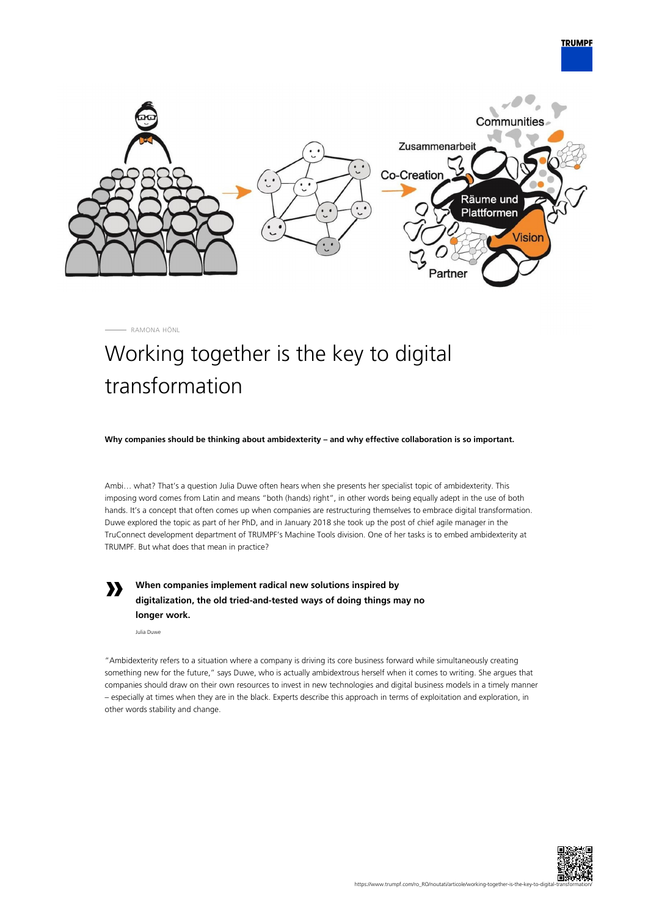

RAMONA HÖNL

## Working together is the key to digital transformation

**Why companies should be thinking about ambidexterity – and why effective collaboration is so important.**

Ambi… what? That's a question Julia Duwe often hears when she presents her specialist topic of ambidexterity. This imposing word comes from Latin and means "both (hands) right", in other words being equally adept in the use of both hands. It's a concept that often comes up when companies are restructuring themselves to embrace digital transformation. Duwe explored the topic as part of her PhD, and in January 2018 she took up the post of chief agile manager in the TruConnect development department of TRUMPF's Machine Tools division. One of her tasks is to embed ambidexterity at TRUMPF. But what does that mean in practice?

**»**

**When companies implement radical new solutions inspired by digitalization, the old tried-and-tested ways of doing things may no longer work.**

Julia Duwe

"Ambidexterity refers to a situation where a company is driving its core business forward while simultaneously creating something new for the future," says Duwe, who is actually ambidextrous herself when it comes to writing. She argues that companies should draw on their own resources to invest in new technologies and digital business models in a timely manner – especially at times when they are in the black. Experts describe this approach in terms of exploitation and exploration, in other words stability and change.



**TRUMPF**